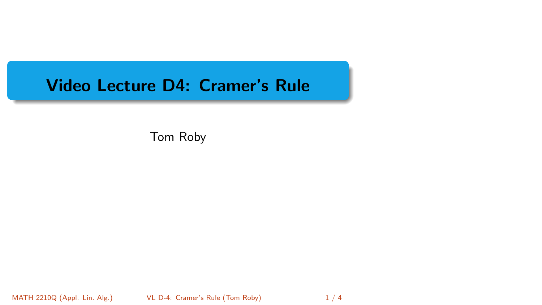# <span id="page-0-0"></span>Video Lecture D4: Cramer's Rule

Tom Roby

MATH 2210Q (Appl. Lin. Alg.) [VL D-4: Cramer's Rule](#page-3-0) (Tom Roby) 1/4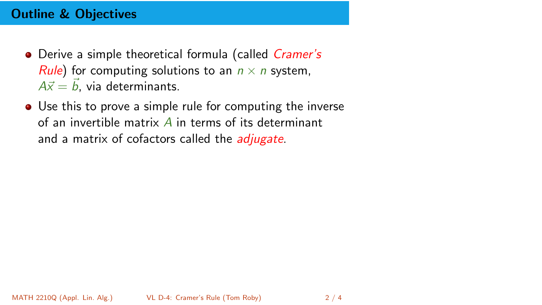## Outline & Objectives

- Derive a simple theoretical formula (called *Cramer's Rule*) for computing solutions to an  $n \times n$  system,  $A\vec{x} = \vec{b}$ , via determinants.
- Use this to prove a simple rule for computing the inverse of an invertible matrix  $\vec{A}$  in terms of its determinant and a matrix of cofactors called the *adjugate*.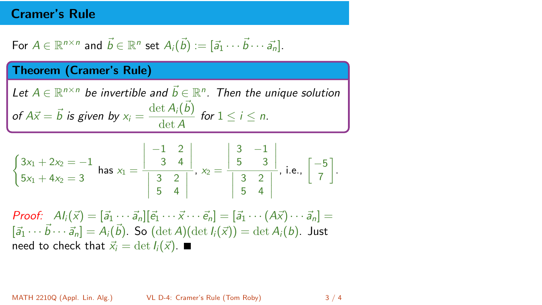### Cramer's Rule

For 
$$
A \in \mathbb{R}^{n \times n}
$$
 and  $\vec{b} \in \mathbb{R}^n$  set  $A_i(\vec{b}) := [\vec{a}_1 \cdots \vec{b} \cdots \vec{a}_n]$ .

#### Theorem (Cramer's Rule)

Let  $A \in \mathbb{R}^{n \times n}$  be invertible and  $\vec{b} \in \mathbb{R}^n$ . Then the unique solution of  $A\vec{x} = \vec{b}$  is given by  $x_i = \frac{\det A_i(\vec{b})}{\det A_i}$  $\frac{\partial f(x_i, y_j)}{\partial t}$  for  $1 \leq i \leq n$ .

$$
\begin{cases}\n3x_1 + 2x_2 = -1 \\
5x_1 + 4x_2 = 3\n\end{cases}\n\text{ has } x_1 = \frac{\begin{vmatrix} -1 & 2 \\ 3 & 4 \end{vmatrix}}{\begin{vmatrix} 3 & 2 \\ 5 & 4 \end{vmatrix}}, x_2 = \frac{\begin{vmatrix} 3 & -1 \\ 5 & 3 \end{vmatrix}}{\begin{vmatrix} 3 & 2 \\ 5 & 4 \end{vmatrix}}, \text{ i.e., } \begin{bmatrix} -5 \\ 7 \end{bmatrix}.
$$

**Proof:**  $Al_i(\vec{x}) = [\vec{a}_1 \cdots \vec{a}_n][\vec{e}_1 \cdots \vec{x} \cdots \vec{e}_n] = [\vec{a}_1 \cdots (A\vec{x}) \cdots \vec{a}_n] =$  $[\vec{a}_1 \cdots \vec{b} \cdots \vec{a}_n] = A_i(\vec{b})$ . So  $(\det A)(\det I_i(\vec{x})) = \det A_i(b)$ . Just need to check that  $\vec{x}_i = \det I_i(\vec{x})$ .

MATH 2210Q (Appl. Lin. Alg.) [VL D-4: Cramer's Rule](#page-0-0) (Tom Roby) 3 / 4